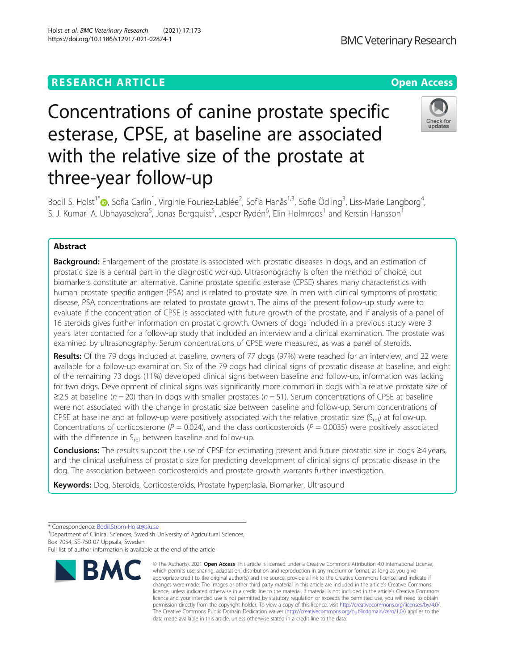# Concentrations of canine prostate specific esterase, CPSE, at baseline are associated with the relative size of the prostate at three-year follow-up

Bodil S. Holst<sup>1[\\*](http://orcid.org/0000-0001-7623-7141)</sup>®, Sofia Carlin<sup>1</sup>, Virginie Fouriez-Lablée<sup>2</sup>, Sofia Hanås<sup>1,3</sup>, Sofie Ödling<sup>3</sup>, Liss-Marie Langborg<sup>4</sup> , S. J. Kumari A. Ubhayasekera<sup>5</sup>, Jonas Bergquist<sup>5</sup>, Jesper Rydén<sup>6</sup>, Elin Holmroos<sup>1</sup> and Kerstin Hansson<sup>1</sup>

## Abstract

**Background:** Enlargement of the prostate is associated with prostatic diseases in dogs, and an estimation of prostatic size is a central part in the diagnostic workup. Ultrasonography is often the method of choice, but biomarkers constitute an alternative. Canine prostate specific esterase (CPSE) shares many characteristics with human prostate specific antigen (PSA) and is related to prostate size. In men with clinical symptoms of prostatic disease, PSA concentrations are related to prostate growth. The aims of the present follow-up study were to evaluate if the concentration of CPSE is associated with future growth of the prostate, and if analysis of a panel of 16 steroids gives further information on prostatic growth. Owners of dogs included in a previous study were 3 years later contacted for a follow-up study that included an interview and a clinical examination. The prostate was examined by ultrasonography. Serum concentrations of CPSE were measured, as was a panel of steroids.

Results: Of the 79 dogs included at baseline, owners of 77 dogs (97%) were reached for an interview, and 22 were available for a follow-up examination. Six of the 79 dogs had clinical signs of prostatic disease at baseline, and eight of the remaining 73 dogs (11%) developed clinical signs between baseline and follow-up, information was lacking for two dogs. Development of clinical signs was significantly more common in dogs with a relative prostate size of ≥2.5 at baseline ( $n = 20$ ) than in dogs with smaller prostates ( $n = 51$ ). Serum concentrations of CPSE at baseline were not associated with the change in prostatic size between baseline and follow-up. Serum concentrations of CPSE at baseline and at follow-up were positively associated with the relative prostatic size  $(S_{\text{rel}})$  at follow-up. Concentrations of corticosterone ( $P = 0.024$ ), and the class corticosteroids ( $P = 0.0035$ ) were positively associated with the difference in  $S_{rel}$  between baseline and follow-up.

Conclusions: The results support the use of CPSE for estimating present and future prostatic size in dogs ≥4 years, and the clinical usefulness of prostatic size for predicting development of clinical signs of prostatic disease in the dog. The association between corticosteroids and prostate growth warrants further investigation.

Keywords: Dog, Steroids, Corticosteroids, Prostate hyperplasia, Biomarker, Ultrasound

\* Correspondence: [Bodil.Strom-Holst@slu.se](mailto:Bodil.Strom-Holst@slu.se) <sup>1</sup>

**BMC** 

<sup>1</sup> Department of Clinical Sciences, Swedish University of Agricultural Sciences, Box 7054, SE-750 07 Uppsala, Sweden

Full list of author information is available at the end of the article





© The Author(s), 2021 **Open Access** This article is licensed under a Creative Commons Attribution 4.0 International License,

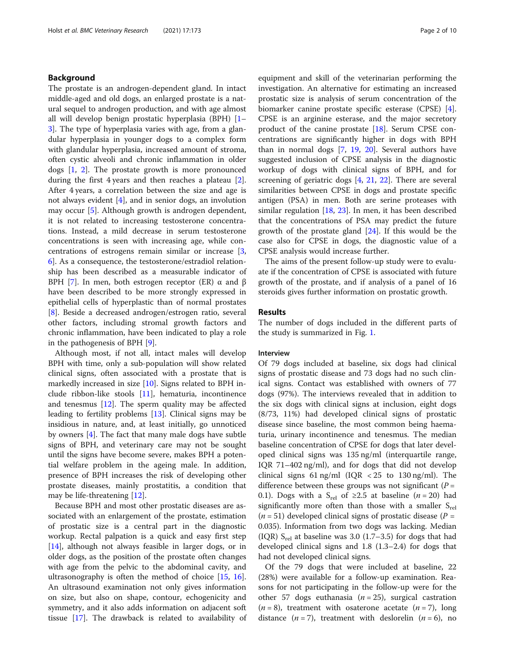## Background

The prostate is an androgen-dependent gland. In intact middle-aged and old dogs, an enlarged prostate is a natural sequel to androgen production, and with age almost all will develop benign prostatic hyperplasia (BPH) [[1](#page-8-0)– [3\]](#page-8-0). The type of hyperplasia varies with age, from a glandular hyperplasia in younger dogs to a complex form with glandular hyperplasia, increased amount of stroma, often cystic alveoli and chronic inflammation in older dogs [[1,](#page-8-0) [2\]](#page-8-0). The prostate growth is more pronounced during the first 4 years and then reaches a plateau [\[2](#page-8-0)]. After 4 years, a correlation between the size and age is not always evident [[4\]](#page-8-0), and in senior dogs, an involution may occur [\[5](#page-8-0)]. Although growth is androgen dependent, it is not related to increasing testosterone concentrations. Instead, a mild decrease in serum testosterone concentrations is seen with increasing age, while concentrations of estrogens remain similar or increase [\[3](#page-8-0), [6\]](#page-8-0). As a consequence, the testosterone/estradiol relationship has been described as a measurable indicator of BPH [[7\]](#page-8-0). In men, both estrogen receptor (ER)  $\alpha$  and β have been described to be more strongly expressed in epithelial cells of hyperplastic than of normal prostates [[8\]](#page-8-0). Beside a decreased androgen/estrogen ratio, several other factors, including stromal growth factors and chronic inflammation, have been indicated to play a role in the pathogenesis of BPH [[9](#page-9-0)].

Although most, if not all, intact males will develop BPH with time, only a sub-population will show related clinical signs, often associated with a prostate that is markedly increased in size [\[10](#page-9-0)]. Signs related to BPH include ribbon-like stools [[11](#page-9-0)], hematuria, incontinence and tenesmus  $[12]$ . The sperm quality may be affected leading to fertility problems [\[13\]](#page-9-0). Clinical signs may be insidious in nature, and, at least initially, go unnoticed by owners [[4\]](#page-8-0). The fact that many male dogs have subtle signs of BPH, and veterinary care may not be sought until the signs have become severe, makes BPH a potential welfare problem in the ageing male. In addition, presence of BPH increases the risk of developing other prostate diseases, mainly prostatitis, a condition that may be life-threatening [[12\]](#page-9-0).

Because BPH and most other prostatic diseases are associated with an enlargement of the prostate, estimation of prostatic size is a central part in the diagnostic workup. Rectal palpation is a quick and easy first step [[14\]](#page-9-0), although not always feasible in larger dogs, or in older dogs, as the position of the prostate often changes with age from the pelvic to the abdominal cavity, and ultrasonography is often the method of choice [\[15](#page-9-0), [16](#page-9-0)]. An ultrasound examination not only gives information on size, but also on shape, contour, echogenicity and symmetry, and it also adds information on adjacent soft tissue [\[17](#page-9-0)]. The drawback is related to availability of

equipment and skill of the veterinarian performing the investigation. An alternative for estimating an increased prostatic size is analysis of serum concentration of the biomarker canine prostate specific esterase (CPSE) [\[4](#page-8-0)]. CPSE is an arginine esterase, and the major secretory product of the canine prostate [\[18](#page-9-0)]. Serum CPSE concentrations are significantly higher in dogs with BPH than in normal dogs [[7,](#page-8-0) [19](#page-9-0), [20](#page-9-0)]. Several authors have suggested inclusion of CPSE analysis in the diagnostic workup of dogs with clinical signs of BPH, and for screening of geriatric dogs [[4,](#page-8-0) [21](#page-9-0), [22\]](#page-9-0). There are several similarities between CPSE in dogs and prostate specific antigen (PSA) in men. Both are serine proteases with similar regulation  $[18, 23]$  $[18, 23]$  $[18, 23]$  $[18, 23]$ . In men, it has been described that the concentrations of PSA may predict the future growth of the prostate gland [[24\]](#page-9-0). If this would be the case also for CPSE in dogs, the diagnostic value of a CPSE analysis would increase further.

The aims of the present follow-up study were to evaluate if the concentration of CPSE is associated with future growth of the prostate, and if analysis of a panel of 16 steroids gives further information on prostatic growth.

## Results

The number of dogs included in the different parts of the study is summarized in Fig. [1.](#page-2-0)

## Interview

Of 79 dogs included at baseline, six dogs had clinical signs of prostatic disease and 73 dogs had no such clinical signs. Contact was established with owners of 77 dogs (97%). The interviews revealed that in addition to the six dogs with clinical signs at inclusion, eight dogs (8/73, 11%) had developed clinical signs of prostatic disease since baseline, the most common being haematuria, urinary incontinence and tenesmus. The median baseline concentration of CPSE for dogs that later developed clinical signs was 135 ng/ml (interquartile range, IQR 71–402 ng/ml), and for dogs that did not develop clinical signs 61 ng/ml (IQR  $<$  25 to 130 ng/ml). The difference between these groups was not significant ( $P =$ 0.1). Dogs with a S<sub>rel</sub> of ≥2.5 at baseline ( $n = 20$ ) had significantly more often than those with a smaller  $S_{rel}$  $(n = 51)$  developed clinical signs of prostatic disease  $(P =$ 0.035). Information from two dogs was lacking. Median (IQR)  $S_{rel}$  at baseline was 3.0 (1.7–3.5) for dogs that had developed clinical signs and 1.8 (1.3–2.4) for dogs that had not developed clinical signs.

Of the 79 dogs that were included at baseline, 22 (28%) were available for a follow-up examination. Reasons for not participating in the follow-up were for the other 57 dogs euthanasia ( $n = 25$ ), surgical castration  $(n = 8)$ , treatment with osaterone acetate  $(n = 7)$ , long distance  $(n=7)$ , treatment with deslorelin  $(n=6)$ , no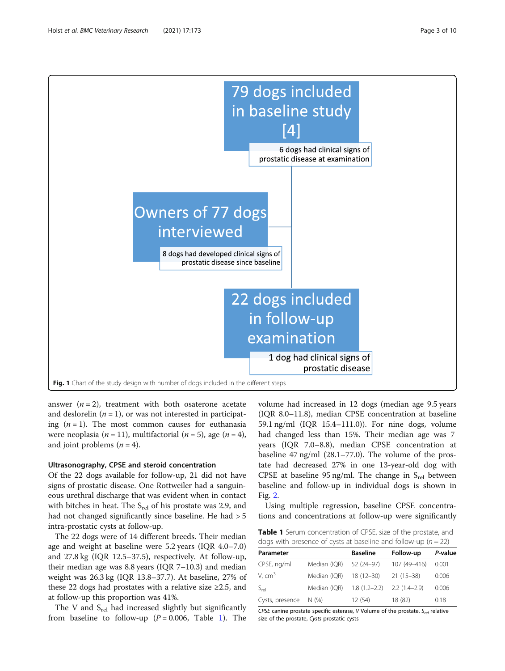<span id="page-2-0"></span>

answer  $(n = 2)$ , treatment with both osaterone acetate and deslorelin  $(n = 1)$ , or was not interested in participating  $(n = 1)$ . The most common causes for euthanasia were neoplasia ( $n = 11$ ), multifactorial ( $n = 5$ ), age ( $n = 4$ ), and joint problems  $(n = 4)$ .

## Ultrasonography, CPSE and steroid concentration

Of the 22 dogs available for follow-up, 21 did not have signs of prostatic disease. One Rottweiler had a sanguineous urethral discharge that was evident when in contact with bitches in heat. The  $S_{rel}$  of his prostate was 2.9, and had not changed significantly since baseline. He had  $> 5$ intra-prostatic cysts at follow-up.

The 22 dogs were of 14 different breeds. Their median age and weight at baseline were 5.2 years (IQR 4.0–7.0) and 27.8 kg (IQR 12.5–37.5), respectively. At follow-up, their median age was 8.8 years (IQR 7–10.3) and median weight was 26.3 kg (IQR 13.8–37.7). At baseline, 27% of these 22 dogs had prostates with a relative size  $\geq 2.5$ , and at follow-up this proportion was 41%.

The V and  $S_{rel}$  had increased slightly but significantly from baseline to follow-up ( $P = 0.006$ , Table 1). The

volume had increased in 12 dogs (median age 9.5 years (IQR 8.0–11.8), median CPSE concentration at baseline 59.1 ng/ml (IQR 15.4–111.0)). For nine dogs, volume had changed less than 15%. Their median age was 7 years (IQR 7.0–8.8), median CPSE concentration at baseline 47 ng/ml (28.1–77.0). The volume of the prostate had decreased 27% in one 13-year-old dog with CPSE at baseline 95 ng/ml. The change in  $S_{rel}$  between baseline and follow-up in individual dogs is shown in Fig. [2](#page-3-0).

Using multiple regression, baseline CPSE concentrations and concentrations at follow-up were significantly

Table 1 Serum concentration of CPSE, size of the prostate, and dogs with presence of cysts at baseline and follow-up ( $n = 22$ )

| Parameter       |              | <b>Baseline</b>  | Follow-up      | P-value |
|-----------------|--------------|------------------|----------------|---------|
| CPSE, ng/ml     | Median (IQR) | 52 (24-97)       | 107 (49-416)   | 0.001   |
| V. $cm3$        | Median (IQR) | $18(12 - 30)$    | $21(15-38)$    | 0.006   |
| $S_{rel}$       | Median (IOR) | $1.8(1.2 - 2.2)$ | $2.2(1.4-2.9)$ | 0.006   |
| Cysts, presence | N(%)         | 12 (54)          | 18 (82)        | 0.18    |

CPSE canine prostate specific esterase, V Volume of the prostate,  $S_{rel}$  relative size of the prostate, Cysts prostatic cysts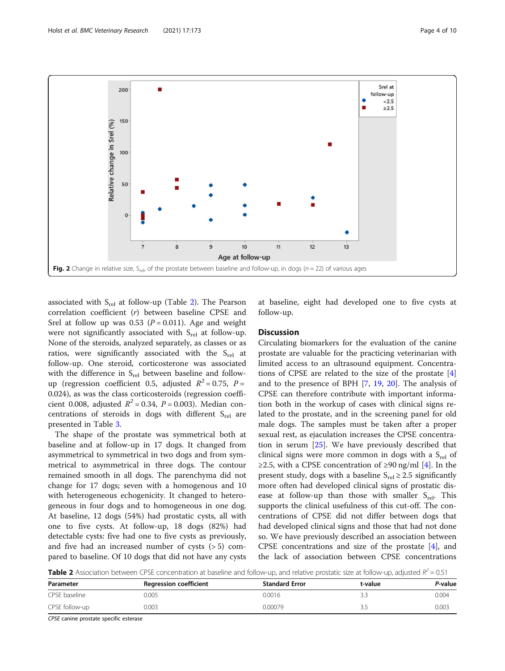<span id="page-3-0"></span>

associated with  $S_{rel}$  at follow-up (Table 2). The Pearson correlation coefficient (r) between baseline CPSE and Srel at follow up was 0.53 ( $P = 0.011$ ). Age and weight were not significantly associated with  $S_{rel}$  at follow-up. None of the steroids, analyzed separately, as classes or as ratios, were significantly associated with the  $S_{rel}$  at follow-up. One steroid, corticosterone was associated with the difference in  $S_{rel}$  between baseline and followup (regression coefficient 0.5, adjusted  $R^2 = 0.75$ ,  $P =$ 0.024), as was the class corticosteroids (regression coefficient 0.008, adjusted  $R^2 = 0.34$ ,  $P = 0.003$ ). Median concentrations of steroids in dogs with different  $S_{rel}$  are presented in Table [3](#page-4-0).

The shape of the prostate was symmetrical both at baseline and at follow-up in 17 dogs. It changed from asymmetrical to symmetrical in two dogs and from symmetrical to asymmetrical in three dogs. The contour remained smooth in all dogs. The parenchyma did not change for 17 dogs; seven with a homogenous and 10 with heterogeneous echogenicity. It changed to heterogeneous in four dogs and to homogeneous in one dog. At baseline, 12 dogs (54%) had prostatic cysts, all with one to five cysts. At follow-up, 18 dogs (82%) had detectable cysts: five had one to five cysts as previously, and five had an increased number of cysts (> 5) compared to baseline. Of 10 dogs that did not have any cysts

at baseline, eight had developed one to five cysts at follow-up.

## **Discussion**

Circulating biomarkers for the evaluation of the canine prostate are valuable for the practicing veterinarian with limited access to an ultrasound equipment. Concentrations of CPSE are related to the size of the prostate [\[4](#page-8-0)] and to the presence of BPH [[7,](#page-8-0) [19](#page-9-0), [20](#page-9-0)]. The analysis of CPSE can therefore contribute with important information both in the workup of cases with clinical signs related to the prostate, and in the screening panel for old male dogs. The samples must be taken after a proper sexual rest, as ejaculation increases the CPSE concentration in serum [\[25](#page-9-0)]. We have previously described that clinical signs were more common in dogs with a  $S_{rel}$  of ≥2.5, with a CPSE concentration of  $\geq$ 90 ng/ml [[4](#page-8-0)]. In the present study, dogs with a baseline  $S_{rel} \geq 2.5$  significantly more often had developed clinical signs of prostatic disease at follow-up than those with smaller  $S_{rel}$ . This supports the clinical usefulness of this cut-off. The concentrations of CPSE did not differ between dogs that had developed clinical signs and those that had not done so. We have previously described an association between CPSE concentrations and size of the prostate [[4](#page-8-0)], and the lack of association between CPSE concentrations

**Table 2** Association between CPSE concentration at baseline and follow-up, and relative prostatic size at follow-up, adjusted  $R^2 = 0.51$ 

| Parameter      | <b>Regression coefficient</b> | <b>Standard Error</b> | t-value  | P-value |
|----------------|-------------------------------|-----------------------|----------|---------|
| CPSE baseline  | 0.005                         | 0.0016                |          | 0.004   |
| CPSE follow-up | 0.003                         | 0.00079               | <u>.</u> | 0.003   |

CPSE canine prostate specific esterase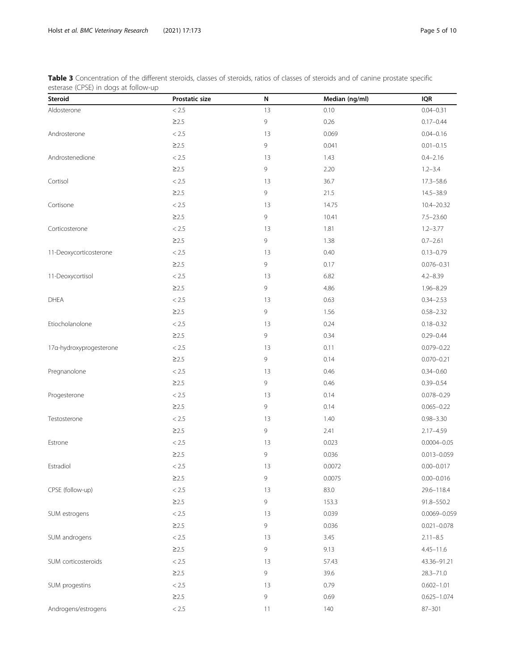<span id="page-4-0"></span>Table 3 Concentration of the different steroids, classes of steroids, ratios of classes of steroids and of canine prostate specific esterase (CPSE) in dogs at follow-up

| <b>Steroid</b>          | Prostatic size | N  | Median (ng/ml) | <b>IQR</b>      |
|-------------------------|----------------|----|----------------|-----------------|
| Aldosterone             | $< 2.5\,$      | 13 | 0.10           | $0.04 - 0.31$   |
|                         | $\geq$ 2.5     | 9  | 0.26           | $0.17 - 0.44$   |
| Androsterone            | $< 2.5\,$      | 13 | 0.069          | $0.04 - 0.16$   |
|                         | $\geq$ 2.5     | 9  | 0.041          | $0.01 - 0.15$   |
| Androstenedione         | $< 2.5\,$      | 13 | 1.43           | $0.4 - 2.16$    |
|                         | $\geq$ 2.5     | 9  | 2.20           | $1.2 - 3.4$     |
| Cortisol                | $< 2.5\,$      | 13 | 36.7           | $17.3 - 58.6$   |
|                         | $\geq$ 2.5     | 9  | 21.5           | 14.5-38.9       |
| Cortisone               | < 2.5          | 13 | 14.75          | 10.4-20.32      |
|                         | $\geq$ 2.5     | 9  | 10.41          | $7.5 - 23.60$   |
| Corticosterone          | $< 2.5\,$      | 13 | 1.81           | $1.2 - 3.77$    |
|                         | $\geq$ 2.5     | 9  | 1.38           | $0.7 - 2.61$    |
| 11-Deoxycorticosterone  | $< 2.5\,$      | 13 | 0.40           | $0.13 - 0.79$   |
|                         | $\geq$ 2.5     | 9  | 0.17           | $0.076 - 0.31$  |
| 11-Deoxycortisol        | $< 2.5\,$      | 13 | 6.82           | $4.2 - 8.39$    |
|                         | $\geq$ 2.5     | 9  | 4.86           | 1.96-8.29       |
| <b>DHEA</b>             | $< 2.5\,$      | 13 | 0.63           | $0.34 - 2.53$   |
|                         | $\geq$ 2.5     | 9  | 1.56           | $0.58 - 2.32$   |
| Etiocholanolone         | $< 2.5\,$      | 13 | 0.24           | $0.18 - 0.32$   |
|                         | $\geq$ 2.5     | 9  | 0.34           | $0.29 - 0.44$   |
| 17a-hydroxyprogesterone | $< 2.5\,$      | 13 | 0.11           | $0.079 - 0.22$  |
|                         | $\geq$ 2.5     | 9  | 0.14           | $0.070 - 0.21$  |
| Pregnanolone            | $< 2.5\,$      | 13 | 0.46           | $0.34 - 0.60$   |
|                         | $\geq$ 2.5     | 9  | 0.46           | $0.39 - 0.54$   |
| Progesterone            | $< 2.5\,$      | 13 | 0.14           | $0.078 - 0.29$  |
|                         | $\geq$ 2.5     | 9  | 0.14           | $0.065 - 0.22$  |
| Testosterone            | $< 2.5\,$      | 13 | 1.40           | $0.98 - 3.30$   |
|                         | $\geq$ 2.5     | 9  | 2.41           | $2.17 - 4.59$   |
| Estrone                 | $< 2.5\,$      | 13 | 0.023          | $0.0004 - 0.05$ |
|                         | $\geq$ 2.5     | 9  | 0.036          | $0.013 - 0.059$ |
| Estradiol               | $< 2.5\,$      | 13 | 0.0072         | $0.00 - 0.017$  |
|                         | $\geq$ 2.5     | 9  | 0.0075         | $0.00 - 0.016$  |
| CPSE (follow-up)        | $< 2.5\,$      | 13 | 83.0           | 29.6-118.4      |
|                         | $\geq$ 2.5     | 9  | 153.3          | 91.8-550.2      |
| SUM estrogens           | $< 2.5\,$      | 13 | 0.039          | 0.0069-0.059    |
|                         | $\geq$ 2.5     | 9  | 0.036          | $0.021 - 0.078$ |
| SUM androgens           | $< 2.5\,$      | 13 | 3.45           | $2.11 - 8.5$    |
|                         | $\geq$ 2.5     | 9  | 9.13           | $4.45 - 11.6$   |
| SUM corticosteroids     | $< 2.5\,$      | 13 | 57.43          | 43.36-91.21     |
|                         | $\geq$ 2.5     | 9  | 39.6           | $28.3 - 71.0$   |
| SUM progestins          | $< 2.5$        | 13 | 0.79           | $0.602 - 1.01$  |
|                         | $\geq$ 2.5     | 9  | 0.69           | $0.625 - 1.074$ |
| Androgens/estrogens     | $< 2.5\,$      | 11 | 140            | 87-301          |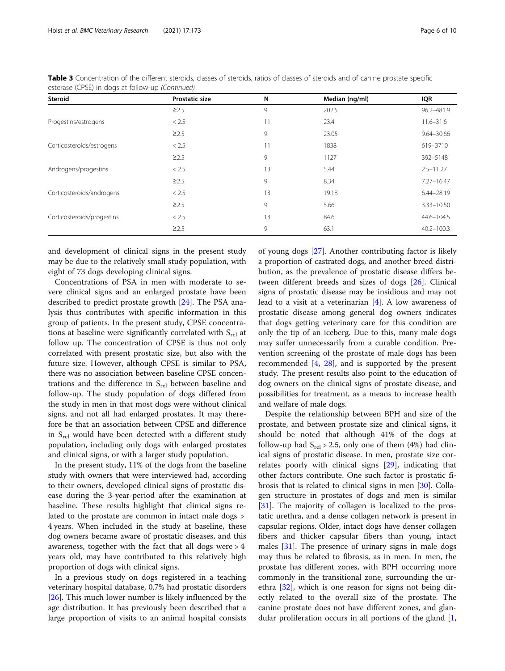| <b>Steroid</b>             | <b>Prostatic size</b> | N  | Median (ng/ml) | <b>IQR</b>     |
|----------------------------|-----------------------|----|----------------|----------------|
|                            | $\geq$ 2.5            | 9  | 202.5          | 96.2-481.9     |
| Progestins/estrogens       | < 2.5                 | 11 | 23.4           | $11.6 - 31.6$  |
|                            | $\geq$ 2.5            | 9  | 23.05          | $9.64 - 30.66$ |
| Corticosteroids/estrogens  | < 2.5                 | 11 | 1838           | 619-3710       |
|                            | $\geq$ 2.5            | 9  | 1127           | 392-5148       |
| Androgens/progestins       | < 2.5                 | 13 | 5.44           | $2.5 - 11.27$  |
|                            | $\geq$ 2.5            | 9  | 8.34           | $7.27 - 16.47$ |
| Corticosteroids/androgens  | < 2.5                 | 13 | 19.18          | $6.44 - 28.19$ |
|                            | $\geq$ 2.5            | 9  | 5.66           | $3.33 - 10.50$ |
| Corticosteroids/progestins | < 2.5                 | 13 | 84.6           | 44.6-104.5     |
|                            | $\geq$ 2.5            | 9  | 63.1           | $40.2 - 100.3$ |

Table 3 Concentration of the different steroids, classes of steroids, ratios of classes of steroids and of canine prostate specific esterase (CPSE) in dogs at follow-up (Continued)

and development of clinical signs in the present study may be due to the relatively small study population, with eight of 73 dogs developing clinical signs.

Concentrations of PSA in men with moderate to severe clinical signs and an enlarged prostate have been described to predict prostate growth [[24\]](#page-9-0). The PSA analysis thus contributes with specific information in this group of patients. In the present study, CPSE concentrations at baseline were significantly correlated with  $S_{rel}$  at follow up. The concentration of CPSE is thus not only correlated with present prostatic size, but also with the future size. However, although CPSE is similar to PSA, there was no association between baseline CPSE concentrations and the difference in  $S_{rel}$  between baseline and follow-up. The study population of dogs differed from the study in men in that most dogs were without clinical signs, and not all had enlarged prostates. It may therefore be that an association between CPSE and difference in S<sub>rel</sub> would have been detected with a different study population, including only dogs with enlarged prostates and clinical signs, or with a larger study population.

In the present study, 11% of the dogs from the baseline study with owners that were interviewed had, according to their owners, developed clinical signs of prostatic disease during the 3-year-period after the examination at baseline. These results highlight that clinical signs related to the prostate are common in intact male dogs > 4 years. When included in the study at baseline, these dog owners became aware of prostatic diseases, and this awareness, together with the fact that all dogs were  $> 4$ years old, may have contributed to this relatively high proportion of dogs with clinical signs.

In a previous study on dogs registered in a teaching veterinary hospital database, 0.7% had prostatic disorders [[26\]](#page-9-0). This much lower number is likely influenced by the age distribution. It has previously been described that a large proportion of visits to an animal hospital consists of young dogs [\[27\]](#page-9-0). Another contributing factor is likely a proportion of castrated dogs, and another breed distribution, as the prevalence of prostatic disease differs between different breeds and sizes of dogs [[26](#page-9-0)]. Clinical signs of prostatic disease may be insidious and may not lead to a visit at a veterinarian [[4\]](#page-8-0). A low awareness of prostatic disease among general dog owners indicates that dogs getting veterinary care for this condition are only the tip of an iceberg. Due to this, many male dogs may suffer unnecessarily from a curable condition. Prevention screening of the prostate of male dogs has been recommended [[4,](#page-8-0) [28](#page-9-0)], and is supported by the present study. The present results also point to the education of dog owners on the clinical signs of prostate disease, and possibilities for treatment, as a means to increase health and welfare of male dogs.

Despite the relationship between BPH and size of the prostate, and between prostate size and clinical signs, it should be noted that although 41% of the dogs at follow-up had  $S_{rel} > 2.5$ , only one of them (4%) had clinical signs of prostatic disease. In men, prostate size correlates poorly with clinical signs [[29\]](#page-9-0), indicating that other factors contribute. One such factor is prostatic fibrosis that is related to clinical signs in men [\[30](#page-9-0)]. Collagen structure in prostates of dogs and men is similar [[31\]](#page-9-0). The majority of collagen is localized to the prostatic urethra, and a dense collagen network is present in capsular regions. Older, intact dogs have denser collagen fibers and thicker capsular fibers than young, intact males [\[31](#page-9-0)]. The presence of urinary signs in male dogs may thus be related to fibrosis, as in men. In men, the prostate has different zones, with BPH occurring more commonly in the transitional zone, surrounding the urethra [[32\]](#page-9-0), which is one reason for signs not being directly related to the overall size of the prostate. The canine prostate does not have different zones, and glandular proliferation occurs in all portions of the gland [\[1](#page-8-0),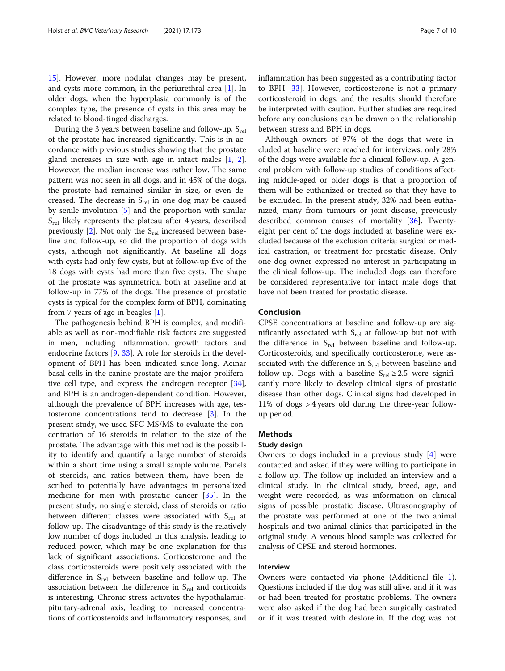[15\]](#page-9-0). However, more nodular changes may be present, and cysts more common, in the periurethral area [\[1](#page-8-0)]. In older dogs, when the hyperplasia commonly is of the complex type, the presence of cysts in this area may be related to blood-tinged discharges.

During the 3 years between baseline and follow-up,  $S_{rel}$ of the prostate had increased significantly. This is in accordance with previous studies showing that the prostate gland increases in size with age in intact males [[1,](#page-8-0) [2](#page-8-0)]. However, the median increase was rather low. The same pattern was not seen in all dogs, and in 45% of the dogs, the prostate had remained similar in size, or even decreased. The decrease in  $S_{rel}$  in one dog may be caused by senile involution [[5\]](#page-8-0) and the proportion with similar  $S_{rel}$  likely represents the plateau after 4 years, described previously  $[2]$  $[2]$ . Not only the  $S_{rel}$  increased between baseline and follow-up, so did the proportion of dogs with cysts, although not significantly. At baseline all dogs with cysts had only few cysts, but at follow-up five of the 18 dogs with cysts had more than five cysts. The shape of the prostate was symmetrical both at baseline and at follow-up in 77% of the dogs. The presence of prostatic cysts is typical for the complex form of BPH, dominating from 7 years of age in beagles [[1\]](#page-8-0).

The pathogenesis behind BPH is complex, and modifiable as well as non-modifiable risk factors are suggested in men, including inflammation, growth factors and endocrine factors [[9,](#page-9-0) [33](#page-9-0)]. A role for steroids in the development of BPH has been indicated since long. Acinar basal cells in the canine prostate are the major proliferative cell type, and express the androgen receptor [\[34](#page-9-0)], and BPH is an androgen-dependent condition. However, although the prevalence of BPH increases with age, testosterone concentrations tend to decrease [[3\]](#page-8-0). In the present study, we used SFC-MS/MS to evaluate the concentration of 16 steroids in relation to the size of the prostate. The advantage with this method is the possibility to identify and quantify a large number of steroids within a short time using a small sample volume. Panels of steroids, and ratios between them, have been described to potentially have advantages in personalized medicine for men with prostatic cancer [\[35\]](#page-9-0). In the present study, no single steroid, class of steroids or ratio between different classes were associated with  $S_{rel}$  at follow-up. The disadvantage of this study is the relatively low number of dogs included in this analysis, leading to reduced power, which may be one explanation for this lack of significant associations. Corticosterone and the class corticosteroids were positively associated with the difference in  $S_{rel}$  between baseline and follow-up. The association between the difference in  $S_{rel}$  and corticoids is interesting. Chronic stress activates the hypothalamicpituitary-adrenal axis, leading to increased concentrations of corticosteroids and inflammatory responses, and inflammation has been suggested as a contributing factor to BPH [[33\]](#page-9-0). However, corticosterone is not a primary corticosteroid in dogs, and the results should therefore be interpreted with caution. Further studies are required before any conclusions can be drawn on the relationship between stress and BPH in dogs.

Although owners of 97% of the dogs that were included at baseline were reached for interviews, only 28% of the dogs were available for a clinical follow-up. A general problem with follow-up studies of conditions affecting middle-aged or older dogs is that a proportion of them will be euthanized or treated so that they have to be excluded. In the present study, 32% had been euthanized, many from tumours or joint disease, previously described common causes of mortality [\[36](#page-9-0)]. Twentyeight per cent of the dogs included at baseline were excluded because of the exclusion criteria; surgical or medical castration, or treatment for prostatic disease. Only one dog owner expressed no interest in participating in the clinical follow-up. The included dogs can therefore be considered representative for intact male dogs that have not been treated for prostatic disease.

## Conclusion

CPSE concentrations at baseline and follow-up are significantly associated with  $S_{rel}$  at follow-up but not with the difference in  $S_{rel}$  between baseline and follow-up. Corticosteroids, and specifically corticosterone, were associated with the difference in  $S_{rel}$  between baseline and follow-up. Dogs with a baseline  $S_{rel} \geq 2.5$  were significantly more likely to develop clinical signs of prostatic disease than other dogs. Clinical signs had developed in 11% of dogs > 4 years old during the three-year followup period.

## Methods

#### Study design

Owners to dogs included in a previous study [[4\]](#page-8-0) were contacted and asked if they were willing to participate in a follow-up. The follow-up included an interview and a clinical study. In the clinical study, breed, age, and weight were recorded, as was information on clinical signs of possible prostatic disease. Ultrasonography of the prostate was performed at one of the two animal hospitals and two animal clinics that participated in the original study. A venous blood sample was collected for analysis of CPSE and steroid hormones.

## Interview

Owners were contacted via phone (Additional file [1](#page-8-0)). Questions included if the dog was still alive, and if it was or had been treated for prostatic problems. The owners were also asked if the dog had been surgically castrated or if it was treated with deslorelin. If the dog was not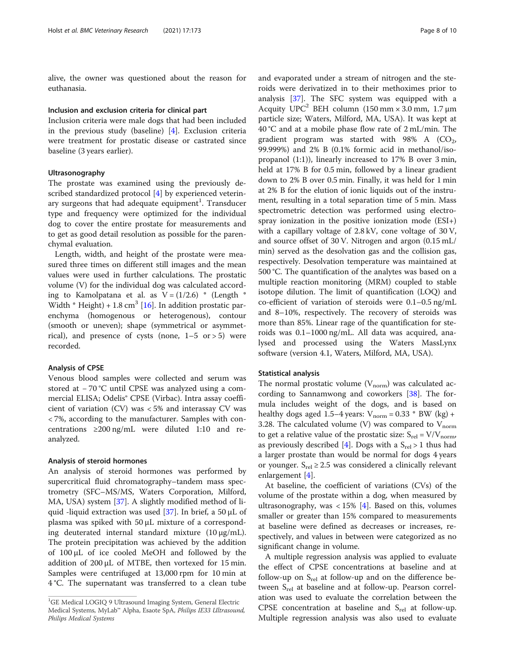alive, the owner was questioned about the reason for euthanasia.

## Inclusion and exclusion criteria for clinical part

Inclusion criteria were male dogs that had been included in the previous study (baseline) [[4\]](#page-8-0). Exclusion criteria were treatment for prostatic disease or castrated since baseline (3 years earlier).

## Ultrasonography

The prostate was examined using the previously described standardized protocol [[4\]](#page-8-0) by experienced veterinary surgeons that had adequate equipment $^{\rm l}$ . Transducer type and frequency were optimized for the individual dog to cover the entire prostate for measurements and to get as good detail resolution as possible for the parenchymal evaluation.

Length, width, and height of the prostate were measured three times on different still images and the mean values were used in further calculations. The prostatic volume (V) for the individual dog was calculated according to Kamolpatana et al. as  $V = (1/2.6) * (Length *$ Width  $*$  Height) + 1.8 cm<sup>3</sup> [\[16\]](#page-9-0). In addition prostatic parenchyma (homogenous or heterogenous), contour (smooth or uneven); shape (symmetrical or asymmetrical), and presence of cysts (none,  $1-5$  or  $> 5$ ) were recorded.

## Analysis of CPSE

Venous blood samples were collected and serum was stored at − 70 °C until CPSE was analyzed using a commercial ELISA; Odelis® CPSE (Virbac). Intra assay coefficient of variation (CV) was < 5% and interassay CV was < 7%, according to the manufacturer. Samples with concentrations ≥200 ng/mL were diluted 1:10 and reanalyzed.

## Analysis of steroid hormones

An analysis of steroid hormones was performed by supercritical fluid chromatography–tandem mass spectrometry (SFC–MS/MS, Waters Corporation, Milford, MA, USA) system [\[37\]](#page-9-0). A slightly modified method of li-quid -liquid extraction was used [\[37](#page-9-0)]. In brief, a 50  $\mu$ L of plasma was spiked with 50 μL mixture of a corresponding deuterated internal standard mixture (10 μg/mL). The protein precipitation was achieved by the addition of 100 μL of ice cooled MeOH and followed by the addition of 200 μL of MTBE, then vortexed for 15 min. Samples were centrifuged at 13,000 rpm for 10 min at 4 °C. The supernatant was transferred to a clean tube and evaporated under a stream of nitrogen and the steroids were derivatized in to their methoximes prior to analysis [\[37](#page-9-0)]. The SFC system was equipped with a Acquity  $UPC^2$  BEH column (150 mm × 3.0 mm, 1.7 µm particle size; Waters, Milford, MA, USA). It was kept at 40 °C and at a mobile phase flow rate of 2 mL/min. The gradient program was started with  $98\%$  A (CO<sub>2</sub>, 99.999%) and 2% B (0.1% formic acid in methanol/isopropanol (1:1)), linearly increased to 17% B over 3 min, held at 17% B for 0.5 min, followed by a linear gradient down to 2% B over 0.5 min. Finally, it was held for 1 min at 2% B for the elution of ionic liquids out of the instrument, resulting in a total separation time of 5 min. Mass spectrometric detection was performed using electrospray ionization in the positive ionization mode (ESI+) with a capillary voltage of 2.8 kV, cone voltage of 30 V, and source offset of 30 V. Nitrogen and argon (0.15 mL/ min) served as the desolvation gas and the collision gas, respectively. Desolvation temperature was maintained at 500 °C. The quantification of the analytes was based on a multiple reaction monitoring (MRM) coupled to stable isotope dilution. The limit of quantification (LOQ) and co-efficient of variation of steroids were 0.1–0.5 ng/mL and 8–10%, respectively. The recovery of steroids was more than 85%. Linear rage of the quantification for steroids was 0.1–1000 ng/mL. All data was acquired, analysed and processed using the Waters MassLynx software (version 4.1, Waters, Milford, MA, USA).

## Statistical analysis

The normal prostatic volume  $(V_{\text{norm}})$  was calculated according to Sannamwong and coworkers [[38](#page-9-0)]. The formula includes weight of the dogs, and is based on healthy dogs aged 1.5–4 years:  $V_{\text{norm}} = 0.33 * BW$  (kg) + 3.28. The calculated volume (V) was compared to  $V_{\text{norm}}$ to get a relative value of the prostatic size:  $S_{rel} = V/V_{norm}$ , as previously described [\[4](#page-8-0)]. Dogs with a  $S_{rel} > 1$  thus had a larger prostate than would be normal for dogs 4 years or younger.  $S_{rel} \geq 2.5$  was considered a clinically relevant enlargement [[4](#page-8-0)].

At baseline, the coefficient of variations (CVs) of the volume of the prostate within a dog, when measured by ultrasonography, was  $<$  15% [\[4](#page-8-0)]. Based on this, volumes smaller or greater than 15% compared to measurements at baseline were defined as decreases or increases, respectively, and values in between were categorized as no significant change in volume.

A multiple regression analysis was applied to evaluate the effect of CPSE concentrations at baseline and at follow-up on  $S_{rel}$  at follow-up and on the difference between  $S_{rel}$  at baseline and at follow-up. Pearson correlation was used to evaluate the correlation between the CPSE concentration at baseline and  $S_{rel}$  at follow-up. Multiple regression analysis was also used to evaluate

<sup>&</sup>lt;sup>1</sup>GE Medical LOGIQ 9 Ultrasound Imaging System, General Electric Medical Systems, MyLab™ Alpha, Esaote SpA, Philips IE33 Ultrasound, Philips Medical Systems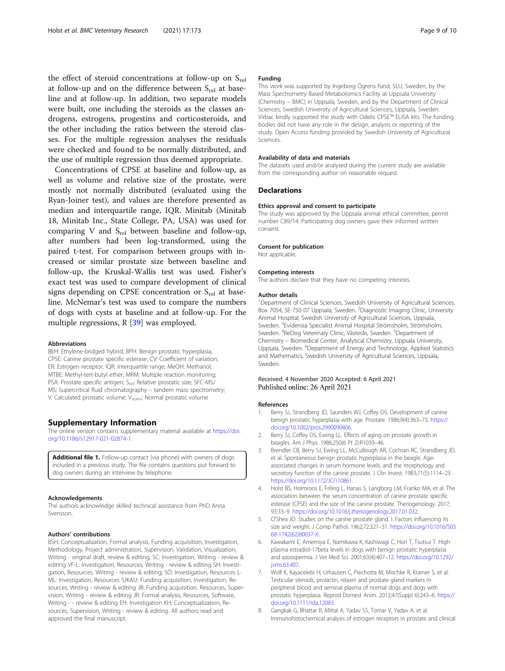<span id="page-8-0"></span>the effect of steroid concentrations at follow-up on  $S_{rel}$ at follow-up and on the difference between  $S_{rel}$  at baseline and at follow-up. In addition, two separate models were built, one including the steroids as the classes androgens, estrogens, progestins and corticosteroids, and the other including the ratios between the steroid classes. For the multiple regression analyses the residuals were checked and found to be normally distributed, and the use of multiple regression thus deemed appropriate.

Concentrations of CPSE at baseline and follow-up, as well as volume and relative size of the prostate, were mostly not normally distributed (evaluated using the Ryan-Joiner test), and values are therefore presented as median and interquartile range, IQR. Minitab (Minitab 18, Minitab Inc., State College, PA, USA) was used for comparing V and  $S_{rel}$  between baseline and follow-up, after numbers had been log-transformed, using the paired t-test. For comparison between groups with increased or similar prostate size between baseline and follow-up, the Kruskal-Wallis test was used. Fisher's exact test was used to compare development of clinical signs depending on CPSE concentration or  $S_{rel}$  at baseline. McNemar's test was used to compare the numbers of dogs with cysts at baseline and at follow-up. For the multiple regressions, R [\[39\]](#page-9-0) was employed.

#### Abbreviations

BEH: Ethylene-bridged hybrid; BPH: Benign prostatic hyperplasia; CPSE: Canine prostate specific esterase; CV: Coefficient of variation; ER: Estrogen receptor; IQR: Interquartile range; MeOH: Methanol; MTBE: Methyl-tert-butyl ether; MRM: Multiple reaction monitoring; PSA: Prostate specific antigen; S<sub>rel</sub>: Relative prostatic size; SFC-MS/ MS: Supercritical fluid chromatography – tandem mass spectrometry; V: Calculated prostatic volume; V<sub>norm</sub>: Normal prostatic volume

#### Supplementary Information

The online version contains supplementary material available at [https://doi.](https://doi.org/10.1186/s12917-021-02874-1) [org/10.1186/s12917-021-02874-1.](https://doi.org/10.1186/s12917-021-02874-1)

Additional file 1. Follow-up contact (via phone) with owners of dogs included in a previous study. The file contains questions put forward to dog owners during an interview by telephone.

#### Acknowledgements

The authors acknowledge skilled technical assistance from PhD Anna Svensson.

#### Authors' contributions

BSH: Conceptualization, Formal analysis, Funding acquisition, Investigation, Methodology, Project administration, Supervision, Validation, Visualization, Writing - original draft, review & editing, SC: Investigation, Writing - review & editing VF-L: Investigation, Resources, Writing - review & editing SH: Investigation, Resources, Writing - review & editing; SÖ: Investigation, Resources L-ML: Investigation, Resources SJKAU: Funding acquisition, Investigation, Resources, Writing - review & editing JB: Funding acquisition, Resources, Supervision, Writing - review & editing JR: Formal analysis, Resources, Software, Writing - - review & editing EH: Investigation KH: Conceptualization, Resources, Supervision, Writing - review & editing. All authors read and approved the final manuscript.

#### Funding

This work was supported by Ingeborg Ögrens fund, SLU, Sweden, by the Mass Spectrometry Based Metabolomics Facility at Uppsala University (Chemistry – BMC) in Uppsala, Sweden, and by the Department of Clinical Sciences, Swedish University of Agricultural Sciences, Uppsala, Sweden. Virbac kindly supported the study with Odelis CPSE™ ELISA kits. The funding bodies did not have any role in the design, analysis or reporting of the study. Open Access funding provided by Swedish University of Agricultural Sciences.

#### Availability of data and materials

The datasets used and/or analysed during the current study are available from the corresponding author on reasonable request.

#### Declarations

#### Ethics approval and consent to participate

The study was approved by the Uppsala animal ethical committee, permit number C89/14. Participating dog owners gave their informed written consent.

#### Consent for publication

Not applicable.

#### Competing interests

The authors declare that they have no competing interests.

#### Author details

<sup>1</sup>Department of Clinical Sciences, Swedish University of Agricultural Sciences, Box 7054, SE-750 07 Uppsala, Sweden. <sup>2</sup>Diagnostic Imaging Clinic, University Animal Hospital, Swedish University of Agricultural Sciences, Uppsala, Sweden. <sup>3</sup>Evidensia Specialist Animal Hospital Strömsholm, Strömsholm, Sweden. <sup>4</sup>ReDog Veterinary Clinic, Västerås, Sweden. <sup>5</sup>Department of Chemistry – Biomedical Center, Analytical Chemistry, Uppsala University, Uppsala, Sweden. <sup>6</sup>Department of Energy and Technology, Applied Statistics and Mathematics, Swedish University of Agricultural Sciences, Uppsala, Sweden.

## Received: 4 November 2020 Accepted: 6 April 2021 Published online: 26 April 2021

#### References

- 1. Berry SJ, Strandberg JD, Saunders WJ, Coffey DS. Development of canine benign prostatic hyperplasia with age. Prostate. 1986;9(4):363–73. [https://](https://doi.org/10.1002/pros.2990090406) [doi.org/10.1002/pros.2990090406.](https://doi.org/10.1002/pros.2990090406)
- 2. Berry SJ, Coffey DS, Ewing LL. Effects of aging on prostate growth in beagles. Am J Phys. 1986;250(6 Pt 2):R1039–46.
- 3. Brendler CB, Berry SJ, Ewing LL, McCullough AR, Cochran RC, Strandberg JD, et al. Spontaneous benign prostatic hyperplasia in the beagle. Ageassociated changes in serum hormone levels, and the morphology and secretory function of the canine prostate. J Clin Invest. 1983;71(5):1114–23. <https://doi.org/10.1172/JCI110861>.
- 4. Holst BS, Holmroos E, Friling L, Hanas S, Langborg LM, Franko MA, et al. The association between the serum concentration of canine prostate specific esterase (CPSE) and the size of the canine prostate. Theriogenology. 2017; 93:33–9. [https://doi.org/10.1016/j.theriogenology.2017.01.032.](https://doi.org/10.1016/j.theriogenology.2017.01.032)
- 5. O'Shea JD. Studies on the canine prostate gland. I. Factors influencing its size and weight. J Comp Pathol. 1962;72:321–31. [https://doi.org/10.1016/S03](https://doi.org/10.1016/S0368-1742(62)80037-X) [68-1742\(62\)80037-X.](https://doi.org/10.1016/S0368-1742(62)80037-X)
- 6. Kawakami E, Amemiya E, Namikawa K, Kashiwagi C, Hori T, Tsutsui T. High plasma estradiol-17beta levels in dogs with benign prostatic hyperplasia and azoospermia. J Vet Med Sci. 2001;63(4):407–12. [https://doi.org/10.1292/](https://doi.org/10.1292/jvms.63.407) [jvms.63.407](https://doi.org/10.1292/jvms.63.407).
- 7. Wolf K, Kayacelebi H, Urhausen C, Piechotta M, Mischke R, Kramer S, et al. Testicular steroids, prolactin, relaxin and prostate gland markers in peripheral blood and seminal plasma of normal dogs and dogs with prostatic hyperplasia. Reprod Domest Anim. 2012;47(Suppl 6):243–6. [https://](https://doi.org/10.1111/rda.12083) [doi.org/10.1111/rda.12083.](https://doi.org/10.1111/rda.12083)
- 8. Gangkak G, Bhattar R, Mittal A, Yadav SS, Tomar V, Yadav A, et al. Immunohistochemical analysis of estrogen receptors in prostate and clinical